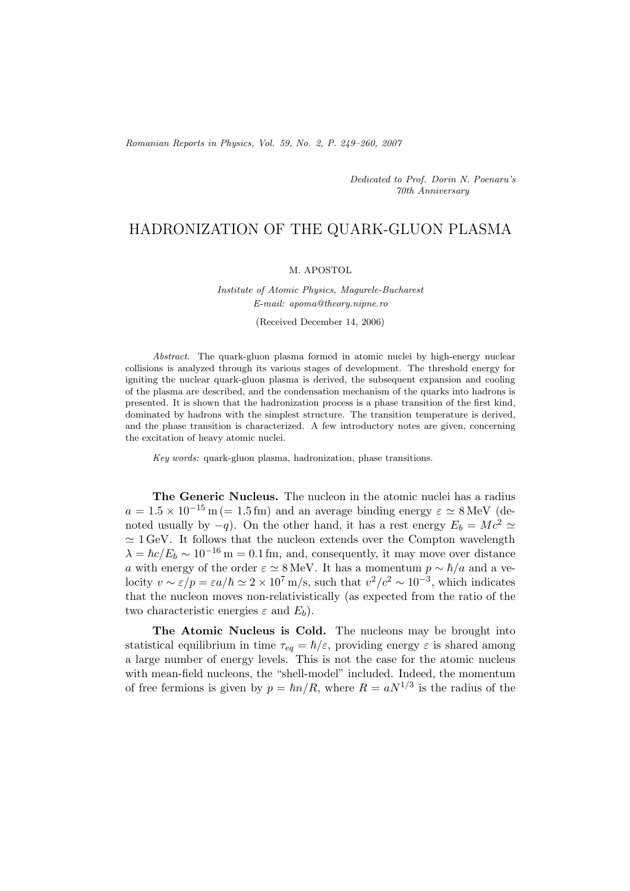*Romanian Reports in Physics, Vol. 59, No. 2, P. 249–260, 2007*

*Dedicated to Prof. Dorin N. Poenaru's 70th Anniversary*

## HADRONIZATION OF THE QUARK-GLUON PLASMA

## M. APOSTOL

## *Institute of Atomic Physics, Magurele-Bucharest E-mail: apoma@theory.nipne.ro*

(Received December 14, 2006)

*Abstract.* The quark-gluon plasma formed in atomic nuclei by high-energy nuclear collisions is analyzed through its various stages of development. The threshold energy for igniting the nuclear quark-gluon plasma is derived, the subsequent expansion and cooling of the plasma are described, and the condensation mechanism of the quarks into hadrons is presented. It is shown that the hadronization process is a phase transition of the first kind, dominated by hadrons with the simplest structure. The transition temperature is derived, and the phase transition is characterized. A few introductory notes are given, concerning the excitation of heavy atomic nuclei.

*Key words:* quark-gluon plasma, hadronization, phase transitions.

**The Generic Nucleus.** The nucleon in the atomic nuclei has a radius  $a = 1.5 \times 10^{-15}$  m (= 1.5 fm) and an average binding energy  $\varepsilon \simeq 8$  MeV (denoted usually by  $-q$ ). On the other hand, it has a rest energy  $E_b = Mc^2 \simeq$  $\approx 1 \,\text{GeV}$ . It follows that the nucleon extends over the Compton wavelength  $\lambda = \hbar c/E_b \sim 10^{-16}$  m = 0.1 fm, and, consequently, it may move over distance a with energy of the order  $\varepsilon \simeq 8 \,\text{MeV}$ . It has a momentum  $p \sim \hbar/a$  and a velocity  $v \sim \varepsilon / p = \varepsilon a / \hbar \simeq 2 \times 10^7 \text{ m/s}$ , such that  $v^2 / c^2 \sim 10^{-3}$ , which indicates that the nucleon moves non-relativistically (as expected from the ratio of the two characteristic energies  $\varepsilon$  and  $E_b$ ).

**The Atomic Nucleus is Cold.** The nucleons may be brought into statistical equilibrium in time  $\tau_{eq} = \hbar/\varepsilon$ , providing energy  $\varepsilon$  is shared among a large number of energy levels. This is not the case for the atomic nucleus with mean-field nucleons, the "shell-model" included. Indeed, the momentum of free fermions is given by  $p = \hbar n/R$ , where  $R = aN^{1/3}$  is the radius of the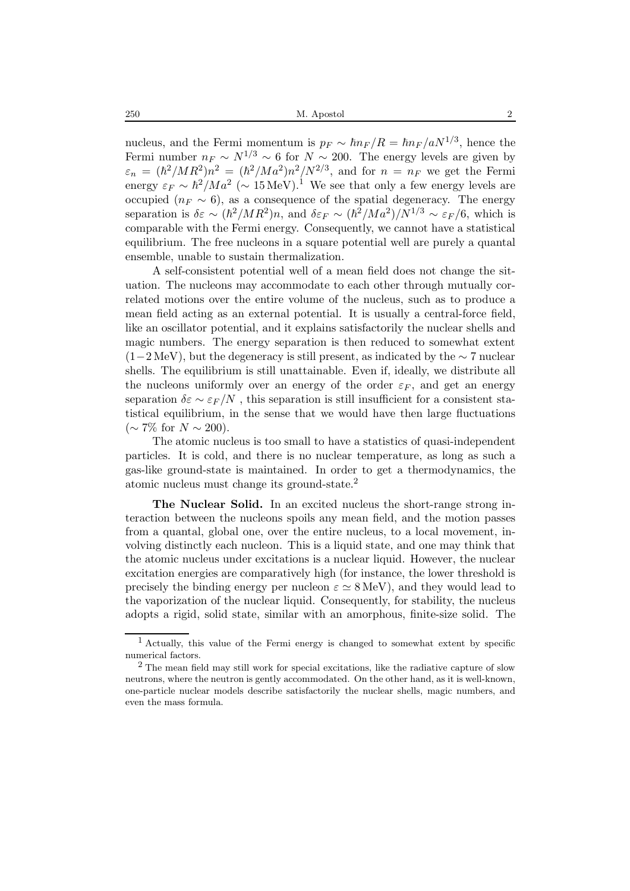nucleus, and the Fermi momentum is  $p_F \sim \hbar n_F / R = \hbar n_F / a N^{1/3}$ , hence the Fermi number  $n_F \sim N^{1/3} \sim 6$  for  $N \sim 200$ . The energy levels are given by  $\varepsilon_n = (\hbar^2/MR^2)n^2 = (\hbar^2/Ma^2)n^2/N^{2/3}$ , and for  $n = n_F$  we get the Fermi energy  $\varepsilon_F \sim \hbar^2 / Ma^2$  (~ 15 MeV).<sup>1</sup> We see that only a few energy levels are occupied ( $n_F \sim 6$ ), as a consequence of the spatial degeneracy. The energy separation is  $\delta \varepsilon \sim (\hbar^2/MR^2)n$ , and  $\delta \varepsilon_F \sim (\hbar^2/Ma^2)/N^{1/3} \sim \varepsilon_F/6$ , which is comparable with the Fermi energy. Consequently, we cannot have a statistical equilibrium. The free nucleons in a square potential well are purely a quantal ensemble, unable to sustain thermalization.

A self-consistent potential well of a mean field does not change the situation. The nucleons may accommodate to each other through mutually correlated motions over the entire volume of the nucleus, such as to produce a mean field acting as an external potential. It is usually a central-force field, like an oscillator potential, and it explains satisfactorily the nuclear shells and magic numbers. The energy separation is then reduced to somewhat extent  $(1-2 \text{ MeV})$ , but the degeneracy is still present, as indicated by the ∼ 7 nuclear shells. The equilibrium is still unattainable. Even if, ideally, we distribute all the nucleons uniformly over an energy of the order  $\varepsilon_F$ , and get an energy separation  $\delta \varepsilon \sim \varepsilon_F/N$ , this separation is still insufficient for a consistent statistical equilibrium, in the sense that we would have then large fluctuations  $(\sim 7\%$  for  $N \sim 200$ ).

The atomic nucleus is too small to have a statistics of quasi-independent particles. It is cold, and there is no nuclear temperature, as long as such a gas-like ground-state is maintained. In order to get a thermodynamics, the atomic nucleus must change its ground-state.<sup>2</sup>

**The Nuclear Solid.** In an excited nucleus the short-range strong interaction between the nucleons spoils any mean field, and the motion passes from a quantal, global one, over the entire nucleus, to a local movement, involving distinctly each nucleon. This is a liquid state, and one may think that the atomic nucleus under excitations is a nuclear liquid. However, the nuclear excitation energies are comparatively high (for instance, the lower threshold is precisely the binding energy per nucleon  $\varepsilon \simeq 8 \,\text{MeV}$ ), and they would lead to the vaporization of the nuclear liquid. Consequently, for stability, the nucleus adopts a rigid, solid state, similar with an amorphous, finite-size solid. The

<sup>1</sup> Actually, this value of the Fermi energy is changed to somewhat extent by specific numerical factors.

 $^{2}$  The mean field may still work for special excitations, like the radiative capture of slow neutrons, where the neutron is gently accommodated. On the other hand, as it is well-known, one-particle nuclear models describe satisfactorily the nuclear shells, magic numbers, and even the mass formula.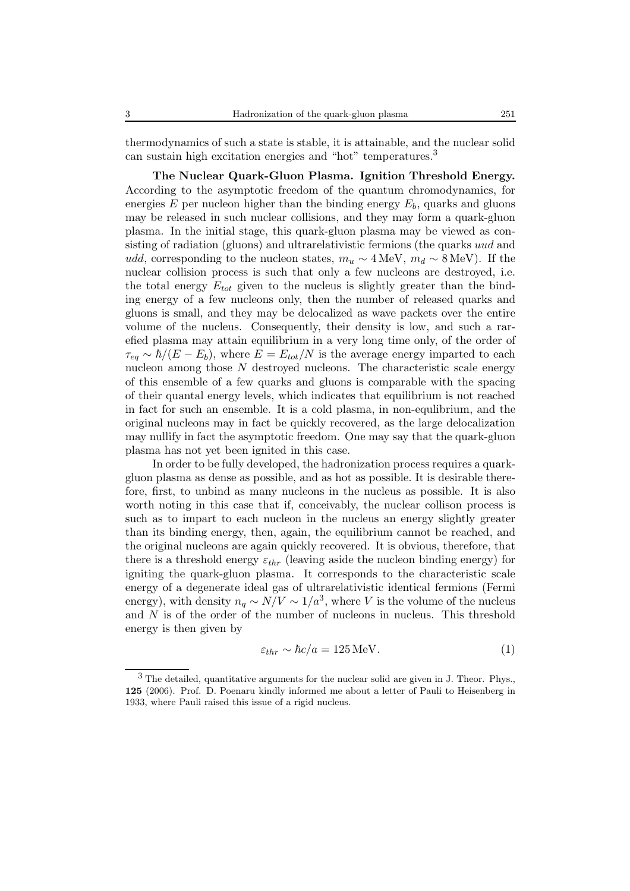thermodynamics of such a state is stable, it is attainable, and the nuclear solid can sustain high excitation energies and "hot" temperatures.<sup>3</sup>

**The Nuclear Quark-Gluon Plasma. Ignition Threshold Energy.** According to the asymptotic freedom of the quantum chromodynamics, for energies  $E$  per nucleon higher than the binding energy  $E_b$ , quarks and gluons may be released in such nuclear collisions, and they may form a quark-gluon plasma. In the initial stage, this quark-gluon plasma may be viewed as consisting of radiation (gluons) and ultrarelativistic fermions (the quarks uud and udd, corresponding to the nucleon states,  $m_u \sim 4 \text{ MeV}, m_d \sim 8 \text{ MeV}$ ). If the nuclear collision process is such that only a few nucleons are destroyed, i.e. the total energy  $E_{tot}$  given to the nucleus is slightly greater than the binding energy of a few nucleons only, then the number of released quarks and gluons is small, and they may be delocalized as wave packets over the entire volume of the nucleus. Consequently, their density is low, and such a rarefied plasma may attain equilibrium in a very long time only, of the order of  $\tau_{eq} \sim \hbar/(E - E_b)$ , where  $E = E_{tot}/N$  is the average energy imparted to each nucleon among those  $N$  destroyed nucleons. The characteristic scale energy of this ensemble of a few quarks and gluons is comparable with the spacing of their quantal energy levels, which indicates that equilibrium is not reached in fact for such an ensemble. It is a cold plasma, in non-equlibrium, and the original nucleons may in fact be quickly recovered, as the large delocalization may nullify in fact the asymptotic freedom. One may say that the quark-gluon plasma has not yet been ignited in this case.

In order to be fully developed, the hadronization process requires a quarkgluon plasma as dense as possible, and as hot as possible. It is desirable therefore, first, to unbind as many nucleons in the nucleus as possible. It is also worth noting in this case that if, conceivably, the nuclear collison process is such as to impart to each nucleon in the nucleus an energy slightly greater than its binding energy, then, again, the equilibrium cannot be reached, and the original nucleons are again quickly recovered. It is obvious, therefore, that there is a threshold energy  $\varepsilon_{thr}$  (leaving aside the nucleon binding energy) for igniting the quark-gluon plasma. It corresponds to the characteristic scale energy of a degenerate ideal gas of ultrarelativistic identical fermions (Fermi energy), with density  $n_q \sim N/V \sim 1/a^3$ , where V is the volume of the nucleus and N is of the order of the number of nucleons in nucleus. This threshold energy is then given by

$$
\varepsilon_{thr} \sim \hbar c/a = 125 \,\text{MeV}.\tag{1}
$$

<sup>3</sup> The detailed, quantitative arguments for the nuclear solid are given in J. Theor. Phys., **125** (2006). Prof. D. Poenaru kindly informed me about a letter of Pauli to Heisenberg in 1933, where Pauli raised this issue of a rigid nucleus.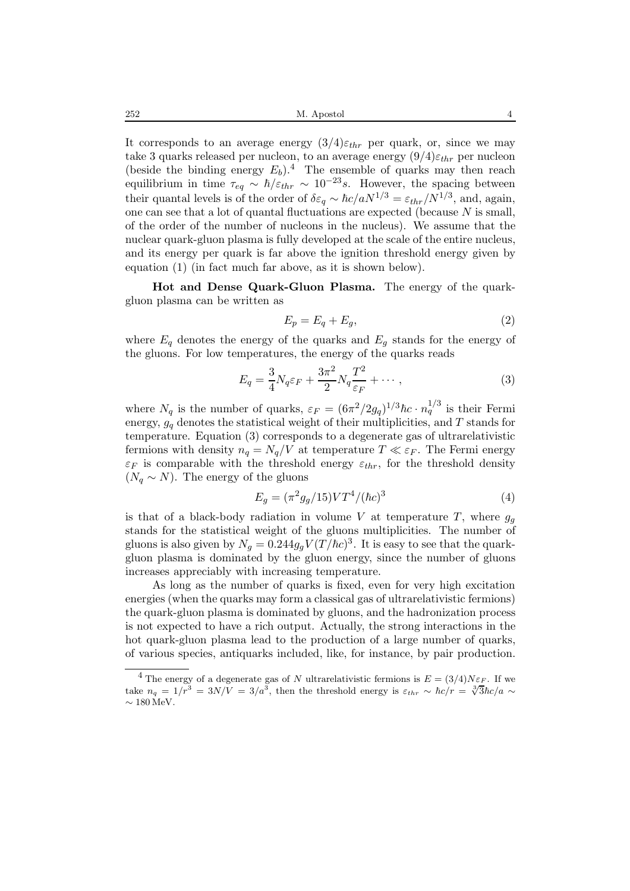It corresponds to an average energy  $(3/4)\varepsilon_{thr}$  per quark, or, since we may take 3 quarks released per nucleon, to an average energy  $(9/4)\varepsilon_{thr}$  per nucleon (beside the binding energy  $E_b$ ).<sup>4</sup> The ensemble of quarks may then reach equilibrium in time  $\tau_{eq} \sim \hbar / \varepsilon_{thr} \sim 10^{-23} s$ . However, the spacing between their quantal levels is of the order of  $\delta \varepsilon_a \sim \hbar c/aN^{1/3} = \varepsilon_{thr}/N^{1/3}$ , and, again, one can see that a lot of quantal fluctuations are expected (because  $N$  is small, of the order of the number of nucleons in the nucleus). We assume that the nuclear quark-gluon plasma is fully developed at the scale of the entire nucleus, and its energy per quark is far above the ignition threshold energy given by equation (1) (in fact much far above, as it is shown below).

**Hot and Dense Quark-Gluon Plasma.** The energy of the quarkgluon plasma can be written as

$$
E_p = E_q + E_g,\t\t(2)
$$

where  $E_q$  denotes the energy of the quarks and  $E_q$  stands for the energy of the gluons. For low temperatures, the energy of the quarks reads

$$
E_q = \frac{3}{4} N_q \varepsilon_F + \frac{3\pi^2}{2} N_q \frac{T^2}{\varepsilon_F} + \cdots, \qquad (3)
$$

where  $N_q$  is the number of quarks,  $\varepsilon_F = (6\pi^2/2g_q)^{1/3}\hbar c \cdot n_q^{1/3}$  is their Fermi energy,  $g_a$  denotes the statistical weight of their multiplicities, and T stands for temperature. Equation (3) corresponds to a degenerate gas of ultrarelativistic fermions with density  $n_q = N_q/V$  at temperature  $T \ll \varepsilon_F$ . The Fermi energy  $\varepsilon_F$  is comparable with the threshold energy  $\varepsilon_{thr}$ , for the threshold density  $(N_q \sim N)$ . The energy of the gluons

$$
E_g = (\pi^2 g_g / 15) V T^4 / (\hbar c)^3 \tag{4}
$$

is that of a black-body radiation in volume V at temperature T, where  $g_q$ stands for the statistical weight of the gluons multiplicities. The number of gluons is also given by  $N_q = 0.244g_q V (T/\hbar c)^3$ . It is easy to see that the quarkgluon plasma is dominated by the gluon energy, since the number of gluons increases appreciably with increasing temperature.

As long as the number of quarks is fixed, even for very high excitation energies (when the quarks may form a classical gas of ultrarelativistic fermions) the quark-gluon plasma is dominated by gluons, and the hadronization process is not expected to have a rich output. Actually, the strong interactions in the hot quark-gluon plasma lead to the production of a large number of quarks, of various species, antiquarks included, like, for instance, by pair production.

<sup>&</sup>lt;sup>4</sup> The energy of a degenerate gas of N ultrarelativistic fermions is  $E = (3/4)N\varepsilon_F$ . If we take  $n_q = 1/r^3 = 3N/V = 3/a^3$ , then the threshold energy is  $\varepsilon_{thr} \sim \hbar c/r = \sqrt[3]{3}\hbar c/a \sim$  $\sim 180 \,\mathrm{MeV}.$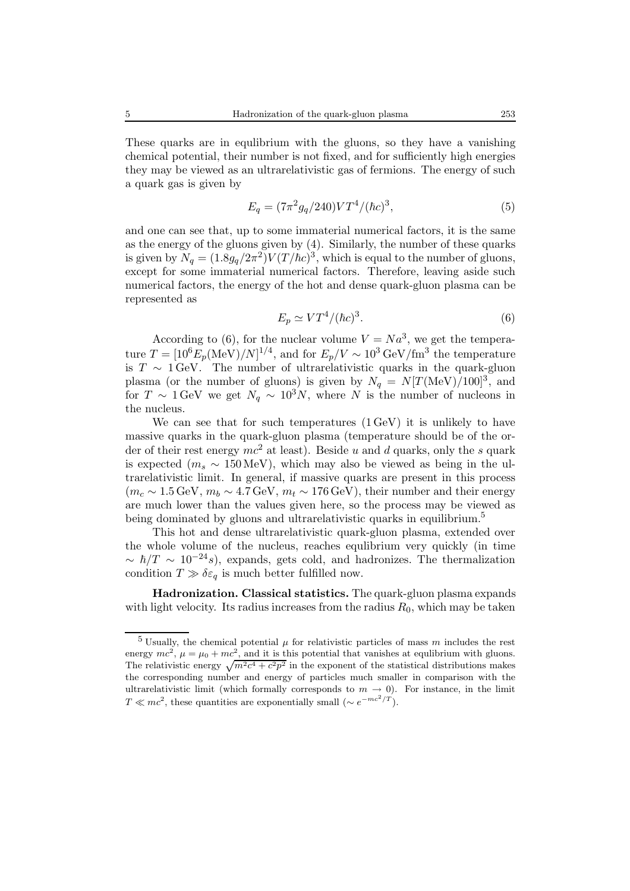These quarks are in equlibrium with the gluons, so they have a vanishing chemical potential, their number is not fixed, and for sufficiently high energies they may be viewed as an ultrarelativistic gas of fermions. The energy of such a quark gas is given by

$$
E_q = (7\pi^2 g_q / 240) V T^4 / (\hbar c)^3,
$$
\n(5)

and one can see that, up to some immaterial numerical factors, it is the same as the energy of the gluons given by (4). Similarly, the number of these quarks is given by  $N_q = (1.8g_q/2\pi^2)V(T/\hbar c)^3$ , which is equal to the number of gluons, except for some immaterial numerical factors. Therefore, leaving aside such numerical factors, the energy of the hot and dense quark-gluon plasma can be represented as

$$
E_p \simeq VT^4/(\hbar c)^3. \tag{6}
$$

According to (6), for the nuclear volume  $V = Na<sup>3</sup>$ , we get the temperature  $T = [10^6 E_p (\text{MeV})/N]^{1/4}$ , and for  $E_p/V \sim 10^3 \text{ GeV}/\text{fm}^3$  the temperature is  $T \sim 1$  GeV. The number of ultrarelativistic quarks in the quark-gluon plasma (or the number of gluons) is given by  $N_q = N[T(\text{MeV})/100]^3$ , and for  $T \sim 1 \,\text{GeV}$  we get  $N_q \sim 10^3 N$ , where N is the number of nucleons in the nucleus.

We can see that for such temperatures  $(1 \text{ GeV})$  it is unlikely to have massive quarks in the quark-gluon plasma (temperature should be of the order of their rest energy  $mc^2$  at least). Beside u and d quarks, only the s quark is expected ( $m_s \sim 150 \,\text{MeV}$ ), which may also be viewed as being in the ultrarelativistic limit. In general, if massive quarks are present in this process  $(m_c \sim 1.5 \,\text{GeV}, m_b \sim 4.7 \,\text{GeV}, m_t \sim 176 \,\text{GeV})$ , their number and their energy are much lower than the values given here, so the process may be viewed as being dominated by gluons and ultrarelativistic quarks in equilibrium.<sup>5</sup>

This hot and dense ultrarelativistic quark-gluon plasma, extended over the whole volume of the nucleus, reaches equlibrium very quickly (in time  $\sim \hbar/T \sim 10^{-24} s$ , expands, gets cold, and hadronizes. The thermalization condition  $T \gg \delta \varepsilon_q$  is much better fulfilled now.

**Hadronization. Classical statistics.** The quark-gluon plasma expands with light velocity. Its radius increases from the radius  $R_0$ , which may be taken

<sup>&</sup>lt;sup>5</sup> Usually, the chemical potential  $\mu$  for relativistic particles of mass m includes the rest energy  $mc^2$ ,  $\mu = \mu_0 + mc^2$ , and it is this potential that vanishes at equilibrium with gluons. The relativistic energy  $\sqrt{m^2c^4+c^2p^2}$  in the exponent of the statistical distributions makes the corresponding number and energy of particles much smaller in comparison with the ultrarelativistic limit (which formally corresponds to  $m \to 0$ ). For instance, in the limit  $T \ll mc^2$ , these quantities are exponentially small (∼  $e^{-mc^2/T}$ ).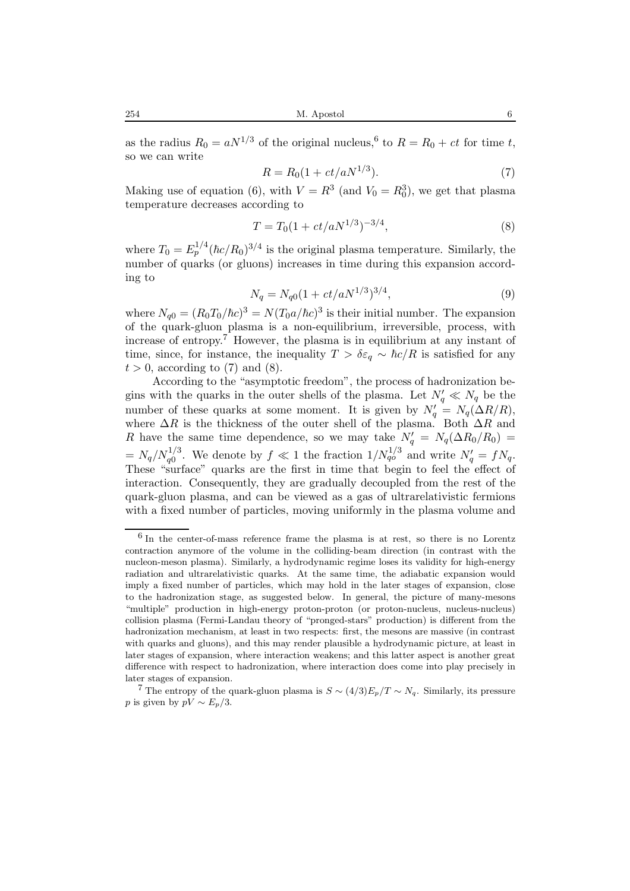as the radius  $R_0 = aN^{1/3}$  of the original nucleus,<sup>6</sup> to  $R = R_0 + ct$  for time t, so we can write

$$
R = R_0(1 + ct/aN^{1/3}).
$$
\n(7)

Making use of equation (6), with  $V = R^3$  (and  $V_0 = R_0^3$ ), we get that plasma temperature decreases according to

$$
T = T_0 \left(1 + ct/aN^{1/3}\right)^{-3/4},\tag{8}
$$

where  $T_0 = E_p^{1/4} (\hbar c/R_0)^{3/4}$  is the original plasma temperature. Similarly, the number of quarks (or gluons) increases in time during this expansion according to

$$
N_q = N_{q0}(1 + ct/aN^{1/3})^{3/4},\tag{9}
$$

where  $N_{q0} = (R_0T_0/\hbar c)^3 = N(T_0a/\hbar c)^3$  is their initial number. The expansion of the quark-gluon plasma is a non-equilibrium, irreversible, process, with increase of entropy.<sup>7</sup> However, the plasma is in equilibrium at any instant of time, since, for instance, the inequality  $T > \delta \varepsilon_a \sim \hbar c/R$  is satisfied for any  $t > 0$ , according to (7) and (8).

According to the "asymptotic freedom", the process of hadronization begins with the quarks in the outer shells of the plasma. Let  $N'_q \ll N_q$  be the number of these quarks at some moment. It is given by  $N'_q = N_q(\Delta R/R)$ , where  $\Delta R$  is the thickness of the outer shell of the plasma. Both  $\Delta R$  and R have the same time dependence, so we may take  $N'_q = N_q(\Delta R_0/R_0)$  $N_q = N_q / N_q^{1/3}$ . We denote by  $f \ll 1$  the fraction  $1/N_{qo}^{1/3}$  and write  $N'_q = fN_q$ . These "surface" quarks are the first in time that begin to feel the effect of interaction. Consequently, they are gradually decoupled from the rest of the quark-gluon plasma, and can be viewed as a gas of ultrarelativistic fermions with a fixed number of particles, moving uniformly in the plasma volume and

<sup>6</sup> In the center-of-mass reference frame the plasma is at rest, so there is no Lorentz contraction anymore of the volume in the colliding-beam direction (in contrast with the nucleon-meson plasma). Similarly, a hydrodynamic regime loses its validity for high-energy radiation and ultrarelativistic quarks. At the same time, the adiabatic expansion would imply a fixed number of particles, which may hold in the later stages of expansion, close to the hadronization stage, as suggested below. In general, the picture of many-mesons "multiple" production in high-energy proton-proton (or proton-nucleus, nucleus-nucleus) collision plasma (Fermi-Landau theory of "pronged-stars" production) is different from the hadronization mechanism, at least in two respects: first, the mesons are massive (in contrast with quarks and gluons), and this may render plausible a hydrodynamic picture, at least in later stages of expansion, where interaction weakens; and this latter aspect is another great difference with respect to hadronization, where interaction does come into play precisely in later stages of expansion.

<sup>&</sup>lt;sup>7</sup> The entropy of the quark-gluon plasma is  $S \sim (4/3)E_p/T \sim N_q$ . Similarly, its pressure p is given by  $pV \sim E_p/3$ .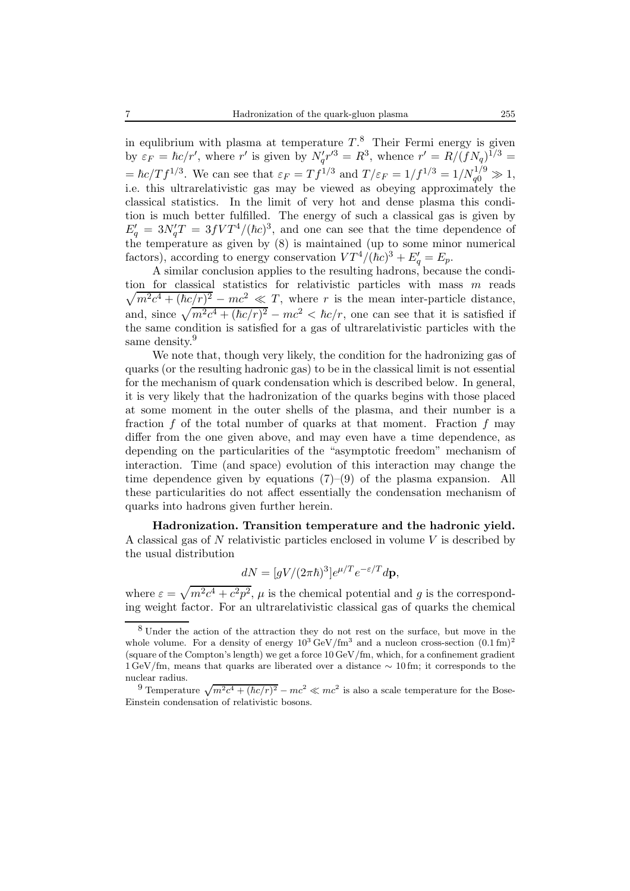in equlibrium with plasma at temperature  $T$ <sup>8</sup>. Their Fermi energy is given by  $\varepsilon_F = \hbar c/r'$ , where r' is given by  $N'_q r'^3 = R^3$ , whence  $r' = R/(fN_q)^{1/3} =$  $= \hbar c/T f^{1/3}$ . We can see that  $\varepsilon_F = Tf^{1/3}$  and  $T/\varepsilon_F = 1/f^{1/3} = 1/N_{q0}^{1/9} \gg 1$ , i.e. this ultrarelativistic gas may be viewed as obeying approximately the classical statistics. In the limit of very hot and dense plasma this condition is much better fulfilled. The energy of such a classical gas is given by  $E_q' = 3N_q'T = 3fVT^4/(\hbar c)^3$ , and one can see that the time dependence of the temperature as given by (8) is maintained (up to some minor numerical factors), according to energy conservation  $VT^4/(\hbar c)^3 + E'_q = E_p$ .

A similar conclusion applies to the resulting hadrons, because the condition for classical statistics for relativistic particles with mass m reads  $\sqrt{m^2c^4 + (\hbar c/r)^2 - mc^2} \ll T$ , where r is the mean inter-particle distance, and, since  $\sqrt{m^2c^4 + (\hbar c/r)^2} - mc^2 < \hbar c/r$ , one can see that it is satisfied if the same condition is satisfied for a gas of ultrarelativistic particles with the same density.<sup>9</sup>

We note that, though very likely, the condition for the hadronizing gas of quarks (or the resulting hadronic gas) to be in the classical limit is not essential for the mechanism of quark condensation which is described below. In general, it is very likely that the hadronization of the quarks begins with those placed at some moment in the outer shells of the plasma, and their number is a fraction f of the total number of quarks at that moment. Fraction f may differ from the one given above, and may even have a time dependence, as depending on the particularities of the "asymptotic freedom" mechanism of interaction. Time (and space) evolution of this interaction may change the time dependence given by equations  $(7)-(9)$  of the plasma expansion. All these particularities do not affect essentially the condensation mechanism of quarks into hadrons given further herein.

**Hadronization. Transition temperature and the hadronic yield.** A classical gas of  $N$  relativistic particles enclosed in volume  $V$  is described by the usual distribution

$$
dN = [gV/(2\pi\hbar)^3]e^{\mu/T}e^{-\varepsilon/T}d\mathbf{p},
$$

where  $\varepsilon = \sqrt{m^2c^4 + c^2p^2}$ ,  $\mu$  is the chemical potential and q is the corresponding weight factor. For an ultrarelativistic classical gas of quarks the chemical

<sup>8</sup> Under the action of the attraction they do not rest on the surface, but move in the whole volume. For a density of energy  $10^3 \text{ GeV}/\text{fm}^3$  and a nucleon cross-section  $(0.1 \text{ fm})^2$ (square of the Compton's length) we get a force 10 GeV/fm, which, for a confinement gradient 1 GeV/fm, means that quarks are liberated over a distance ∼ 10 fm; it corresponds to the nuclear radius.

<sup>&</sup>lt;sup>9</sup> Temperature  $\sqrt{m^2c^4 + (\hbar c/r)^2} - mc^2 \ll mc^2$  is also a scale temperature for the Bose-Einstein condensation of relativistic bosons.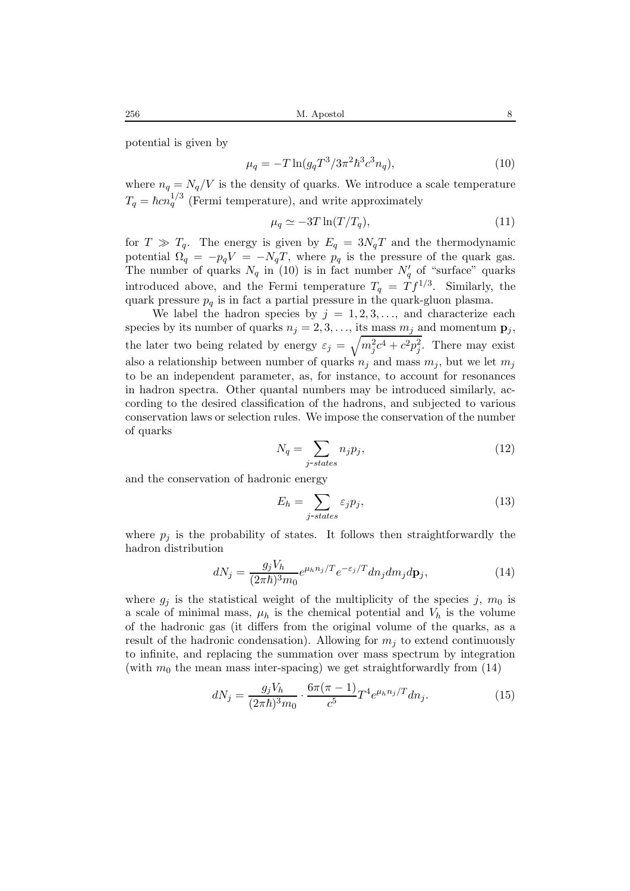potential is given by

$$
\mu_q = -T \ln(g_q T^3 / 3\pi^2 \hbar^3 c^3 n_q),\tag{10}
$$

where  $n_q = N_q/V$  is the density of quarks. We introduce a scale temperature  $T_q = \hbar c n_q^{1/3}$  (Fermi temperature), and write approximately

$$
\mu_q \simeq -3T \ln(T/T_q),\tag{11}
$$

for  $T \gg T_q$ . The energy is given by  $E_q = 3N_qT$  and the thermodynamic potential  $\Omega_q = -p_q V = -N_q T$ , where  $p_q$  is the pressure of the quark gas. The number of quarks  $N_q$  in (10) is in fact number  $N'_q$  of "surface" quarks introduced above, and the Fermi temperature  $T_q = T f^{1/3}$ . Similarly, the quark pressure  $p_q$  is in fact a partial pressure in the quark-gluon plasma.

We label the hadron species by  $j = 1, 2, 3, \ldots$ , and characterize each species by its number of quarks  $n_j = 2, 3, \ldots$ , its mass  $m_j$  and momentum  $\mathbf{p}_j$ , the later two being related by energy  $\varepsilon_j = \sqrt{m_j^2 c^4 + c^2 p_j^2}$ . There may exist also a relationship between number of quarks  $n_i$  and mass  $m_j$ , but we let  $m_j$ to be an independent parameter, as, for instance, to account for resonances in hadron spectra. Other quantal numbers may be introduced similarly, according to the desired classification of the hadrons, and subjected to various conservation laws or selection rules. We impose the conservation of the number of quarks

$$
N_q = \sum_{j-states} n_j p_j,\tag{12}
$$

and the conservation of hadronic energy

$$
E_h = \sum_{j-states} \varepsilon_j p_j,\tag{13}
$$

where  $p_i$  is the probability of states. It follows then straightforwardly the hadron distribution

$$
dN_j = \frac{g_j V_h}{(2\pi\hbar)^3 m_0} e^{\mu_h n_j/T} e^{-\varepsilon_j/T} dn_j dm_j d\mathbf{p}_j,
$$
\n(14)

where  $g_j$  is the statistical weight of the multiplicity of the species j,  $m_0$  is a scale of minimal mass,  $\mu_h$  is the chemical potential and  $V_h$  is the volume of the hadronic gas (it differs from the original volume of the quarks, as a result of the hadronic condensation). Allowing for  $m_i$  to extend continuously to infinite, and replacing the summation over mass spectrum by integration (with  $m_0$  the mean mass inter-spacing) we get straightforwardly from (14)

$$
dN_j = \frac{g_j V_h}{(2\pi\hbar)^3 m_0} \cdot \frac{6\pi(\pi - 1)}{c^5} T^4 e^{\mu_h n_j/T} dn_j.
$$
 (15)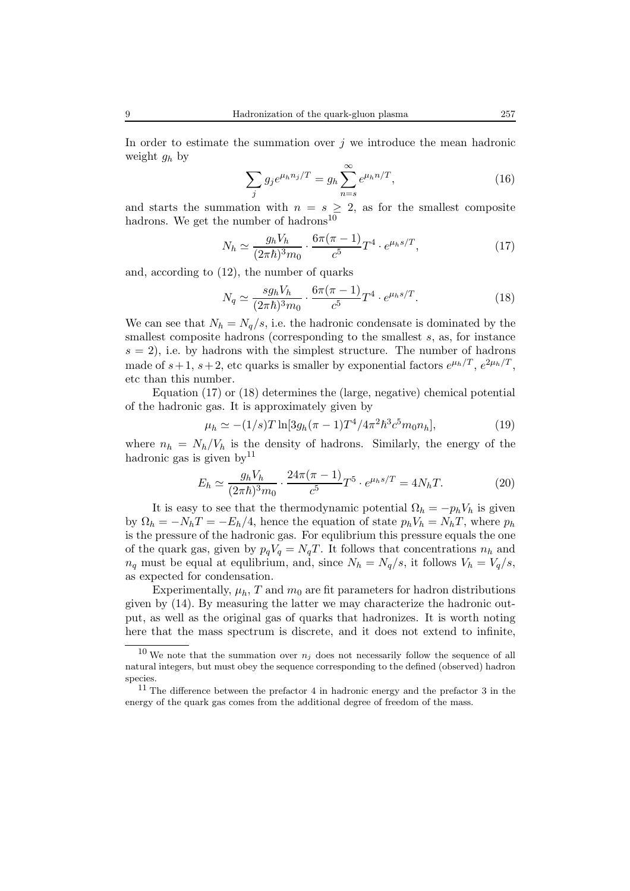In order to estimate the summation over  $j$  we introduce the mean hadronic weight  $g_h$  by

$$
\sum_{j} g_j e^{\mu_h n_j/T} = g_h \sum_{n=s}^{\infty} e^{\mu_h n/T}, \qquad (16)
$$

and starts the summation with  $n = s \geq 2$ , as for the smallest composite hadrons. We get the number of hadrons<sup>10</sup>

$$
N_h \simeq \frac{g_h V_h}{(2\pi\hbar)^3 m_0} \cdot \frac{6\pi(\pi - 1)}{c^5} T^4 \cdot e^{\mu_h s/T},\tag{17}
$$

and, according to (12), the number of quarks

$$
N_q \simeq \frac{sg_h V_h}{(2\pi\hbar)^3 m_0} \cdot \frac{6\pi(\pi - 1)}{c^5} T^4 \cdot e^{\mu_h s/T}.
$$
 (18)

We can see that  $N_h = N_q/s$ , i.e. the hadronic condensate is dominated by the smallest composite hadrons (corresponding to the smallest  $s$ , as, for instance  $s = 2$ , i.e. by hadrons with the simplest structure. The number of hadrons made of  $s+1$ ,  $s+2$ , etc quarks is smaller by exponential factors  $e^{\mu_h/T}$ ,  $e^{2\mu_h/T}$ , etc than this number.

Equation (17) or (18) determines the (large, negative) chemical potential of the hadronic gas. It is approximately given by

$$
\mu_h \simeq -(1/s)T \ln[3g_h(\pi - 1)T^4/4\pi^2\hbar^3 c^5 m_0 n_h],\tag{19}
$$

where  $n_h = N_h/V_h$  is the density of hadrons. Similarly, the energy of the hadronic gas is given by  $11$ 

$$
E_h \simeq \frac{g_h V_h}{(2\pi\hbar)^3 m_0} \cdot \frac{24\pi(\pi - 1)}{c^5} T^5 \cdot e^{\mu_h s/T} = 4N_h T. \tag{20}
$$

It is easy to see that the thermodynamic potential  $\Omega_h = -p_hV_h$  is given by  $\Omega_h = -N_hT = -E_h/4$ , hence the equation of state  $p_hV_h = N_hT$ , where  $p_h$ is the pressure of the hadronic gas. For equlibrium this pressure equals the one of the quark gas, given by  $p_qV_q = N_qT$ . It follows that concentrations  $n_h$  and  $n_q$  must be equal at equilibrium, and, since  $N_h = N_q/s$ , it follows  $V_h = V_q/s$ , as expected for condensation.

Experimentally,  $\mu_h$ , T and  $m_0$  are fit parameters for hadron distributions given by (14). By measuring the latter we may characterize the hadronic output, as well as the original gas of quarks that hadronizes. It is worth noting here that the mass spectrum is discrete, and it does not extend to infinite,

<sup>&</sup>lt;sup>10</sup> We note that the summation over  $n_j$  does not necessarily follow the sequence of all natural integers, but must obey the sequence corresponding to the defined (observed) hadron species.

 $11$  The difference between the prefactor 4 in hadronic energy and the prefactor 3 in the energy of the quark gas comes from the additional degree of freedom of the mass.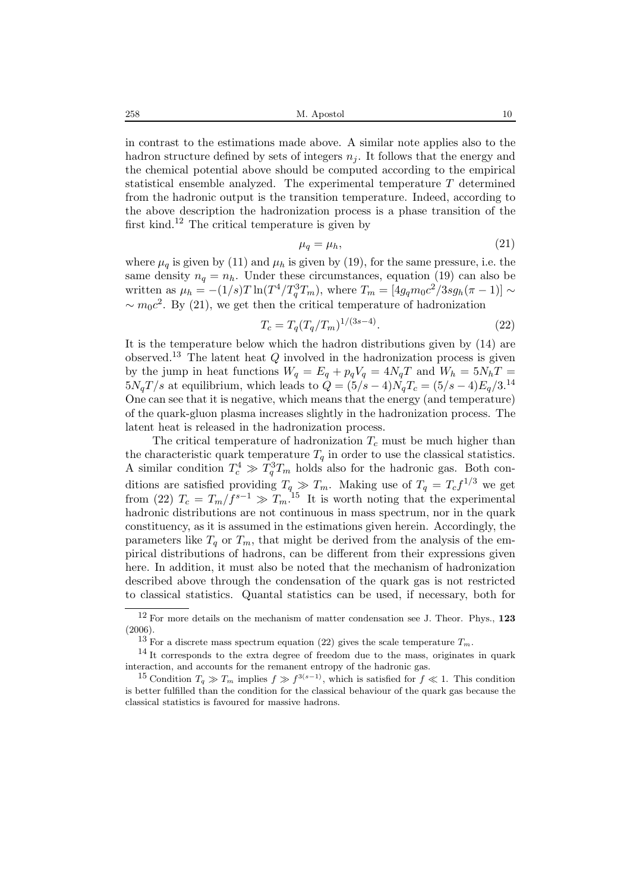258 M. Apostol 10

in contrast to the estimations made above. A similar note applies also to the hadron structure defined by sets of integers  $n<sub>i</sub>$ . It follows that the energy and the chemical potential above should be computed according to the empirical statistical ensemble analyzed. The experimental temperature T determined from the hadronic output is the transition temperature. Indeed, according to the above description the hadronization process is a phase transition of the first kind.<sup>12</sup> The critical temperature is given by

$$
\mu_q = \mu_h,\tag{21}
$$

where  $\mu_q$  is given by (11) and  $\mu_h$  is given by (19), for the same pressure, i.e. the same density  $n_q = n_h$ . Under these circumstances, equation (19) can also be written as  $\mu_h = -(1/s)T \ln(T^4/T_q^3 T_m)$ , where  $T_m = [4g_q m_0 c^2 / 3sg_h(\pi - 1)] \sim$  $\sim m_0c^2$ . By (21), we get then the critical temperature of hadronization

$$
T_c = T_q (T_q / T_m)^{1/(3s-4)}.
$$
\n(22)

It is the temperature below which the hadron distributions given by (14) are observed.<sup>13</sup> The latent heat  $Q$  involved in the hadronization process is given by the jump in heat functions  $W_q = E_q + p_q V_q = 4N_qT$  and  $W_h = 5N_hT =$  $5N_qT/s$  at equilibrium, which leads to  $Q = (5/s - 4)N_qT_c = (5/s - 4)E_q/3$ .<sup>14</sup> One can see that it is negative, which means that the energy (and temperature) of the quark-gluon plasma increases slightly in the hadronization process. The latent heat is released in the hadronization process.

The critical temperature of hadronization  $T_c$  must be much higher than the characteristic quark temperature  $T_q$  in order to use the classical statistics. A similar condition  $T_c^4 \gg T_q^3 T_m$  holds also for the hadronic gas. Both conditions are satisfied providing  $T_q \gg T_m$ . Making use of  $T_q = T_c f^{1/3}$  we get from (22)  $T_c = T_m/f^{s-1} \gg T_m^{15}$  It is worth noting that the experimental hadronic distributions are not continuous in mass spectrum, nor in the quark constituency, as it is assumed in the estimations given herein. Accordingly, the parameters like  $T_q$  or  $T_m$ , that might be derived from the analysis of the empirical distributions of hadrons, can be different from their expressions given here. In addition, it must also be noted that the mechanism of hadronization described above through the condensation of the quark gas is not restricted to classical statistics. Quantal statistics can be used, if necessary, both for

<sup>12</sup> For more details on the mechanism of matter condensation see J. Theor. Phys., **123** (2006).

<sup>&</sup>lt;sup>13</sup> For a discrete mass spectrum equation (22) gives the scale temperature  $T_m$ .<br><sup>14</sup> It corresponds to the extra degree of freedom due to the mass, originates in quark interaction, and accounts for the remanent entropy of the hadronic gas.

<sup>&</sup>lt;sup>15</sup> Condition  $T_q \gg T_m$  implies  $f \gg f^{3(s-1)}$ , which is satisfied for  $f \ll 1$ . This condition is better fulfilled than the condition for the classical behaviour of the quark gas because the classical statistics is favoured for massive hadrons.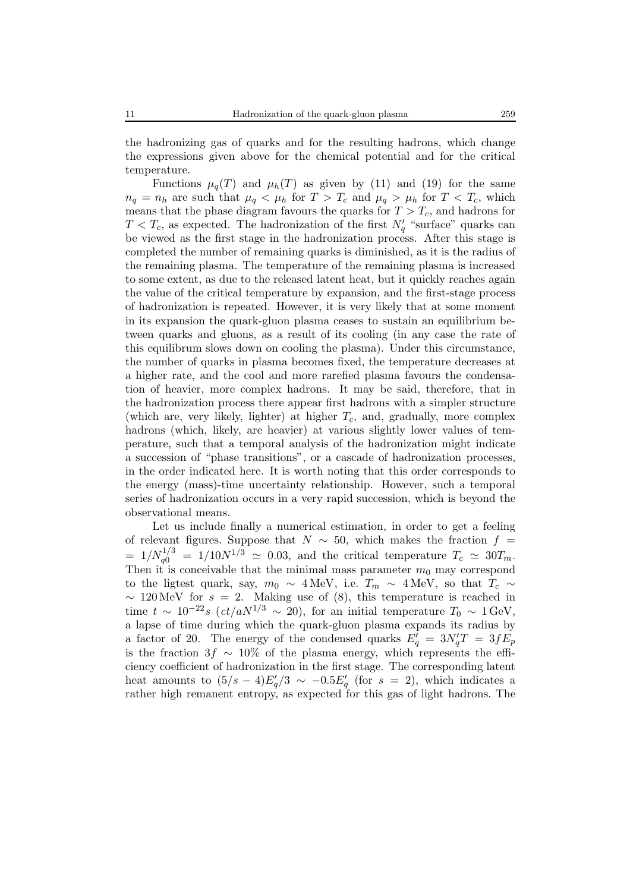the hadronizing gas of quarks and for the resulting hadrons, which change the expressions given above for the chemical potential and for the critical temperature.

Functions  $\mu_q(T)$  and  $\mu_h(T)$  as given by (11) and (19) for the same  $n_q = n_h$  are such that  $\mu_q < \mu_h$  for  $T > T_c$  and  $\mu_q > \mu_h$  for  $T < T_c$ , which means that the phase diagram favours the quarks for  $T > T_c$ , and hadrons for  $T < T_c$ , as expected. The hadronization of the first  $N'_q$  "surface" quarks can be viewed as the first stage in the hadronization process. After this stage is completed the number of remaining quarks is diminished, as it is the radius of the remaining plasma. The temperature of the remaining plasma is increased to some extent, as due to the released latent heat, but it quickly reaches again the value of the critical temperature by expansion, and the first-stage process of hadronization is repeated. However, it is very likely that at some moment in its expansion the quark-gluon plasma ceases to sustain an equilibrium between quarks and gluons, as a result of its cooling (in any case the rate of this equilibrum slows down on cooling the plasma). Under this circumstance, the number of quarks in plasma becomes fixed, the temperature decreases at a higher rate, and the cool and more rarefied plasma favours the condensation of heavier, more complex hadrons. It may be said, therefore, that in the hadronization process there appear first hadrons with a simpler structure (which are, very likely, lighter) at higher  $T_c$ , and, gradually, more complex hadrons (which, likely, are heavier) at various slightly lower values of temperature, such that a temporal analysis of the hadronization might indicate a succession of "phase transitions", or a cascade of hadronization processes, in the order indicated here. It is worth noting that this order corresponds to the energy (mass)-time uncertainty relationship. However, such a temporal series of hadronization occurs in a very rapid succession, which is beyond the observational means.

Let us include finally a numerical estimation, in order to get a feeling of relevant figures. Suppose that  $N \sim 50$ , which makes the fraction  $f =$  $= 1/N_q^{1/3} = 1/10N^{1/3} \simeq 0.03$ , and the critical temperature  $T_c \simeq 30T_m$ . Then it is conceivable that the minimal mass parameter  $m_0$  may correspond to the ligtest quark, say,  $m_0 \sim 4 \text{ MeV}$ , i.e.  $T_m \sim 4 \text{ MeV}$ , so that  $T_c \sim$  $\sim 120 \,\text{MeV}$  for  $s = 2$ . Making use of (8), this temperature is reached in time  $t \sim 10^{-22} s \ (ct/aN^{1/3} \sim 20)$ , for an initial temperature  $T_0 \sim 1 \text{ GeV}$ , a lapse of time during which the quark-gluon plasma expands its radius by a factor of 20. The energy of the condensed quarks  $E_q' = 3N_q'T = 3fE_p$ is the fraction 3f  $\sim 10\%$  of the plasma energy, which represents the efficiency coefficient of hadronization in the first stage. The corresponding latent heat amounts to  $(5/s - 4)E_q^{\prime}/3 \sim -0.5E_q^{\prime}$  (for  $s = 2$ ), which indicates a rather high remanent entropy, as expected for this gas of light hadrons. The